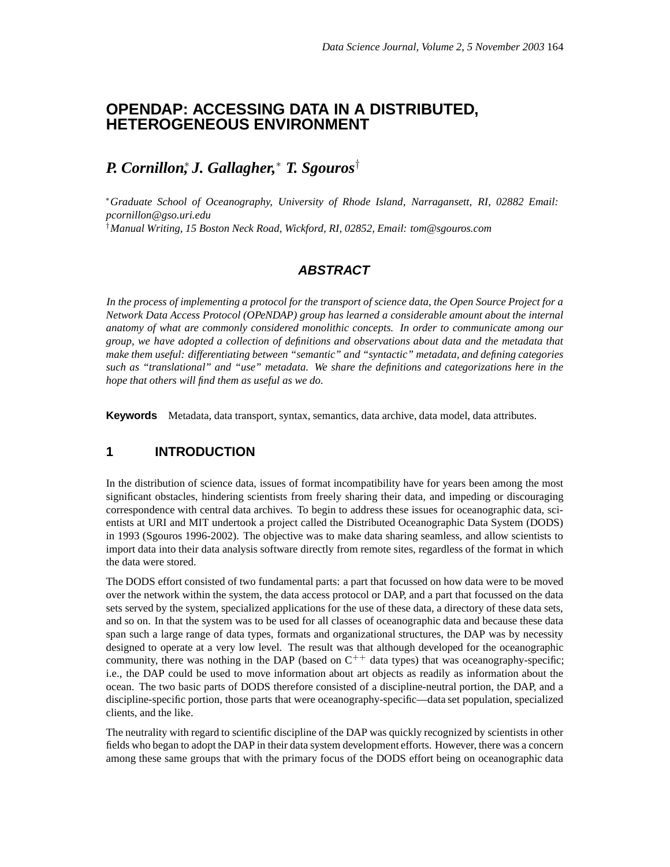# **OPENDAP: ACCESSING DATA IN A DISTRIBUTED, HETEROGENEOUS ENVIRONMENT**

# *P. Cornillon*<sup>∗</sup> *, J. Gallagher,* <sup>∗</sup> *T. Sgouros*†

<sup>∗</sup>*Graduate School of Oceanography, University of Rhode Island, Narragansett, RI, 02882 Email: pcornillon@gso.uri.edu* †*Manual Writing, 15 Boston Neck Road, Wickford, RI, 02852, Email: tom@sgouros.com*

## **ABSTRACT**

In the process of implementing a protocol for the transport of science data, the Open Source Project for a *Network Data Access Protocol (OPeNDAP) group has learned a considerable amount about the internal anatomy of what are commonly considered monolithic concepts. In order to communicate among our group, we have adopted a collection of definitions and observations about data and the metadata that make them useful: differentiating between "semantic" and "syntactic" metadata, and defining categories such as "translational" and "use" metadata. We share the definitions and categorizations here in the hope that others will find them as useful as we do.*

**Keywords** Metadata, data transport, syntax, semantics, data archive, data model, data attributes.

#### **1 INTRODUCTION**

In the distribution of science data, issues of format incompatibility have for years been among the most significant obstacles, hindering scientists from freely sharing their data, and impeding or discouraging correspondence with central data archives. To begin to address these issues for oceanographic data, scientists at URI and MIT undertook a project called the Distributed Oceanographic Data System (DODS) in 1993 (Sgouros 1996-2002). The objective was to make data sharing seamless, and allow scientists to import data into their data analysis software directly from remote sites, regardless of the format in which the data were stored.

The DODS effort consisted of two fundamental parts: a part that focussed on how data were to be moved over the network within the system, the data access protocol or DAP, and a part that focussed on the data sets served by the system, specialized applications for the use of these data, a directory of these data sets, and so on. In that the system was to be used for all classes of oceanographic data and because these data span such a large range of data types, formats and organizational structures, the DAP was by necessity designed to operate at a very low level. The result was that although developed for the oceanographic community, there was nothing in the DAP (based on  $C^{++}$  data types) that was oceanography-specific; i.e., the DAP could be used to move information about art objects as readily as information about the ocean. The two basic parts of DODS therefore consisted of a discipline-neutral portion, the DAP, and a discipline-specific portion, those parts that were oceanography-specific—data set population, specialized clients, and the like.

The neutrality with regard to scientific discipline of the DAP was quickly recognized by scientists in other fields who began to adopt the DAP in their data system development efforts. However, there was a concern among these same groups that with the primary focus of the DODS effort being on oceanographic data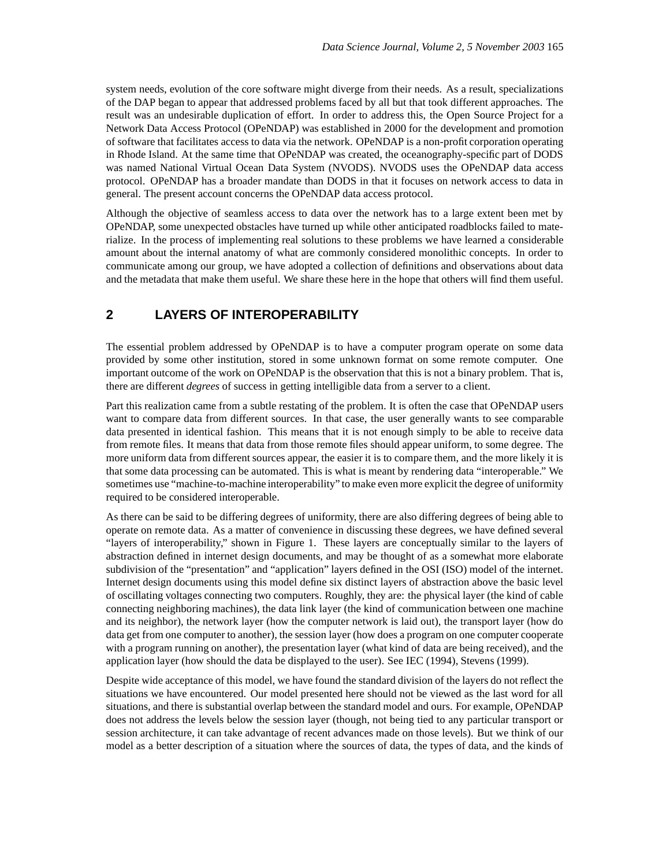system needs, evolution of the core software might diverge from their needs. As a result, specializations of the DAP began to appear that addressed problems faced by all but that took different approaches. The result was an undesirable duplication of effort. In order to address this, the Open Source Project for a Network Data Access Protocol (OPeNDAP) was established in 2000 for the development and promotion of software that facilitates access to data via the network. OPeNDAP is a non-profit corporation operating in Rhode Island. At the same time that OPeNDAP was created, the oceanography-specific part of DODS was named National Virtual Ocean Data System (NVODS). NVODS uses the OPeNDAP data access protocol. OPeNDAP has a broader mandate than DODS in that it focuses on network access to data in general. The present account concerns the OPeNDAP data access protocol.

Although the objective of seamless access to data over the network has to a large extent been met by OPeNDAP, some unexpected obstacles have turned up while other anticipated roadblocks failed to materialize. In the process of implementing real solutions to these problems we have learned a considerable amount about the internal anatomy of what are commonly considered monolithic concepts. In order to communicate among our group, we have adopted a collection of definitions and observations about data and the metadata that make them useful. We share these here in the hope that others will find them useful.

## **2 LAYERS OF INTEROPERABILITY**

The essential problem addressed by OPeNDAP is to have a computer program operate on some data provided by some other institution, stored in some unknown format on some remote computer. One important outcome of the work on OPeNDAP is the observation that this is not a binary problem. That is, there are different *degrees* of success in getting intelligible data from a server to a client.

Part this realization came from a subtle restating of the problem. It is often the case that OPeNDAP users want to compare data from different sources. In that case, the user generally wants to see comparable data presented in identical fashion. This means that it is not enough simply to be able to receive data from remote files. It means that data from those remote files should appear uniform, to some degree. The more uniform data from different sources appear, the easier it is to compare them, and the more likely it is that some data processing can be automated. This is what is meant by rendering data "interoperable." We sometimes use "machine-to-machine interoperability" to make even more explicit the degree of uniformity required to be considered interoperable.

As there can be said to be differing degrees of uniformity, there are also differing degrees of being able to operate on remote data. As a matter of convenience in discussing these degrees, we have defined several "layers of interoperability," shown in Figure 1. These layers are conceptually similar to the layers of abstraction defined in internet design documents, and may be thought of as a somewhat more elaborate subdivision of the "presentation" and "application" layers defined in the OSI (ISO) model of the internet. Internet design documents using this model define six distinct layers of abstraction above the basic level of oscillating voltages connecting two computers. Roughly, they are: the physical layer (the kind of cable connecting neighboring machines), the data link layer (the kind of communication between one machine and its neighbor), the network layer (how the computer network is laid out), the transport layer (how do data get from one computer to another), the session layer (how does a program on one computer cooperate with a program running on another), the presentation layer (what kind of data are being received), and the application layer (how should the data be displayed to the user). See IEC (1994), Stevens (1999).

Despite wide acceptance of this model, we have found the standard division of the layers do not reflect the situations we have encountered. Our model presented here should not be viewed as the last word for all situations, and there is substantial overlap between the standard model and ours. For example, OPeNDAP does not address the levels below the session layer (though, not being tied to any particular transport or session architecture, it can take advantage of recent advances made on those levels). But we think of our model as a better description of a situation where the sources of data, the types of data, and the kinds of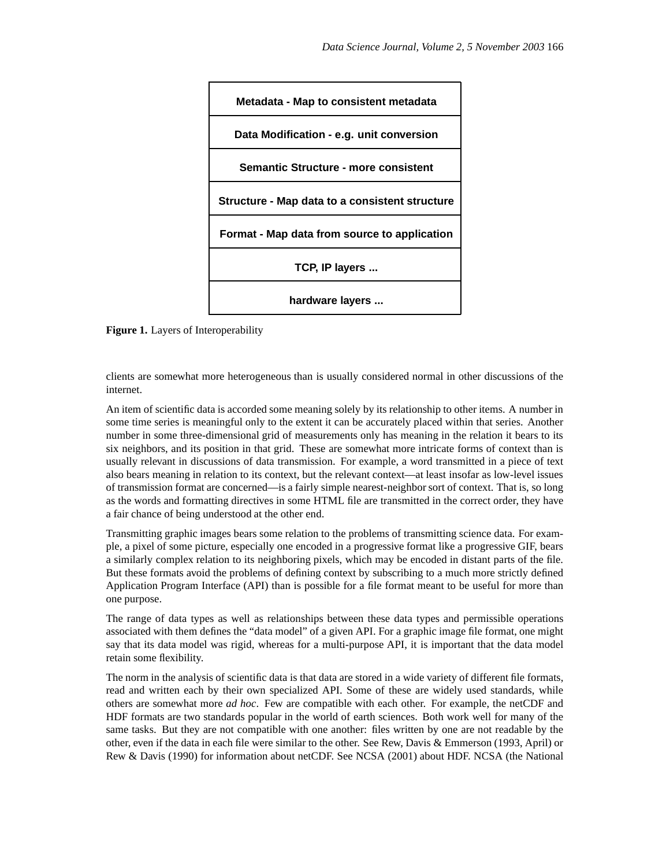

**Figure 1.** Layers of Interoperability

clients are somewhat more heterogeneous than is usually considered normal in other discussions of the internet.

An item of scientific data is accorded some meaning solely by its relationship to other items. A number in some time series is meaningful only to the extent it can be accurately placed within that series. Another number in some three-dimensional grid of measurements only has meaning in the relation it bears to its six neighbors, and its position in that grid. These are somewhat more intricate forms of context than is usually relevant in discussions of data transmission. For example, a word transmitted in a piece of text also bears meaning in relation to its context, but the relevant context—at least insofar as low-level issues of transmission format are concerned—is a fairly simple nearest-neighborsort of context. That is, so long as the words and formatting directives in some HTML file are transmitted in the correct order, they have a fair chance of being understood at the other end.

Transmitting graphic images bears some relation to the problems of transmitting science data. For example, a pixel of some picture, especially one encoded in a progressive format like a progressive GIF, bears a similarly complex relation to its neighboring pixels, which may be encoded in distant parts of the file. But these formats avoid the problems of defining context by subscribing to a much more strictly defined Application Program Interface (API) than is possible for a file format meant to be useful for more than one purpose.

The range of data types as well as relationships between these data types and permissible operations associated with them defines the "data model" of a given API. For a graphic image file format, one might say that its data model was rigid, whereas for a multi-purpose API, it is important that the data model retain some flexibility.

The norm in the analysis of scientific data is that data are stored in a wide variety of different file formats, read and written each by their own specialized API. Some of these are widely used standards, while others are somewhat more *ad hoc*. Few are compatible with each other. For example, the netCDF and HDF formats are two standards popular in the world of earth sciences. Both work well for many of the same tasks. But they are not compatible with one another: files written by one are not readable by the other, even if the data in each file were similar to the other. See Rew, Davis & Emmerson (1993, April) or Rew & Davis (1990) for information about netCDF. See NCSA (2001) about HDF. NCSA (the National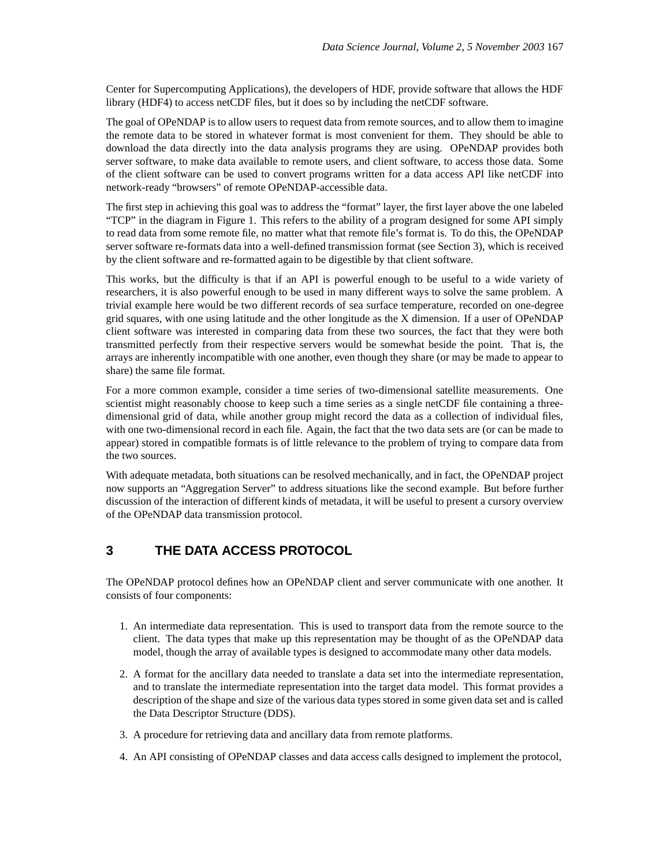Center for Supercomputing Applications), the developers of HDF, provide software that allows the HDF library (HDF4) to access netCDF files, but it does so by including the netCDF software.

The goal of OPeNDAP is to allow users to request data from remote sources, and to allow them to imagine the remote data to be stored in whatever format is most convenient for them. They should be able to download the data directly into the data analysis programs they are using. OPeNDAP provides both server software, to make data available to remote users, and client software, to access those data. Some of the client software can be used to convert programs written for a data access API like netCDF into network-ready "browsers" of remote OPeNDAP-accessible data.

The first step in achieving this goal was to address the "format" layer, the first layer above the one labeled "TCP" in the diagram in Figure 1. This refers to the ability of a program designed for some API simply to read data from some remote file, no matter what that remote file's format is. To do this, the OPeNDAP server software re-formats data into a well-defined transmission format (see Section 3), which is received by the client software and re-formatted again to be digestible by that client software.

This works, but the difficulty is that if an API is powerful enough to be useful to a wide variety of researchers, it is also powerful enough to be used in many different ways to solve the same problem. A trivial example here would be two different records of sea surface temperature, recorded on one-degree grid squares, with one using latitude and the other longitude as the X dimension. If a user of OPeNDAP client software was interested in comparing data from these two sources, the fact that they were both transmitted perfectly from their respective servers would be somewhat beside the point. That is, the arrays are inherently incompatible with one another, even though they share (or may be made to appear to share) the same file format.

For a more common example, consider a time series of two-dimensional satellite measurements. One scientist might reasonably choose to keep such a time series as a single netCDF file containing a threedimensional grid of data, while another group might record the data as a collection of individual files, with one two-dimensional record in each file. Again, the fact that the two data sets are (or can be made to appear) stored in compatible formats is of little relevance to the problem of trying to compare data from the two sources.

With adequate metadata, both situations can be resolved mechanically, and in fact, the OPeNDAP project now supports an "Aggregation Server" to address situations like the second example. But before further discussion of the interaction of different kinds of metadata, it will be useful to present a cursory overview of the OPeNDAP data transmission protocol.

## **3 THE DATA ACCESS PROTOCOL**

The OPeNDAP protocol defines how an OPeNDAP client and server communicate with one another. It consists of four components:

- 1. An intermediate data representation. This is used to transport data from the remote source to the client. The data types that make up this representation may be thought of as the OPeNDAP data model, though the array of available types is designed to accommodate many other data models.
- 2. A format for the ancillary data needed to translate a data set into the intermediate representation, and to translate the intermediate representation into the target data model. This format provides a description of the shape and size of the various data types stored in some given data set and is called the Data Descriptor Structure (DDS).
- 3. A procedure for retrieving data and ancillary data from remote platforms.
- 4. An API consisting of OPeNDAP classes and data access calls designed to implement the protocol,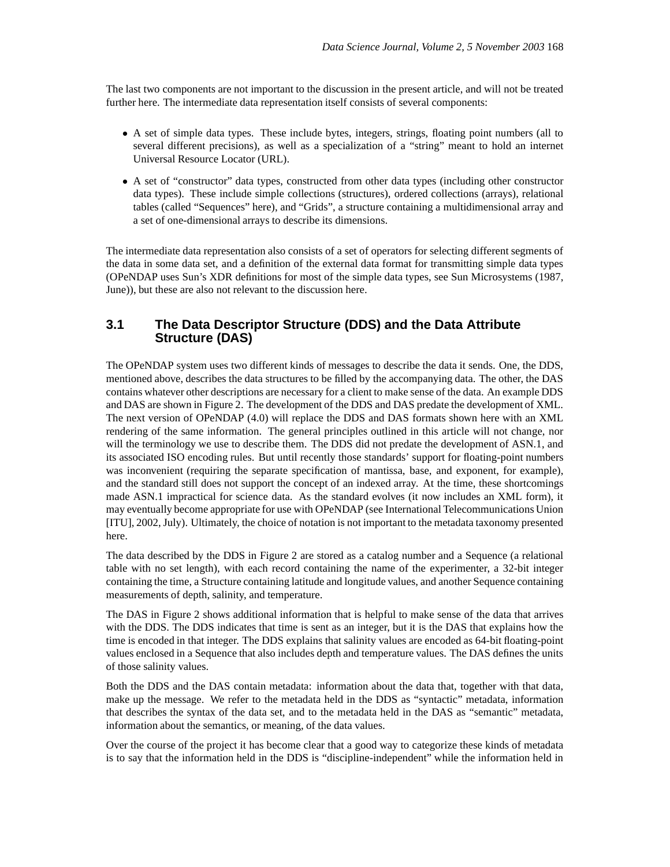The last two components are not important to the discussion in the present article, and will not be treated further here. The intermediate data representation itself consists of several components:

- A set of simple data types. These include bytes, integers, strings, floating point numbers (all to several different precisions), as well as a specialization of a "string" meant to hold an internet Universal Resource Locator (URL).
- A set of "constructor" data types, constructed from other data types (including other constructor data types). These include simple collections (structures), ordered collections (arrays), relational tables (called "Sequences" here), and "Grids", a structure containing a multidimensional array and a set of one-dimensional arrays to describe its dimensions.

The intermediate data representation also consists of a set of operators for selecting different segments of the data in some data set, and a definition of the external data format for transmitting simple data types (OPeNDAP uses Sun's XDR definitions for most of the simple data types, see Sun Microsystems (1987, June)), but these are also not relevant to the discussion here.

#### **3.1 The Data Descriptor Structure (DDS) and the Data Attribute Structure (DAS)**

The OPeNDAP system uses two different kinds of messages to describe the data it sends. One, the DDS, mentioned above, describes the data structures to be filled by the accompanying data. The other, the DAS contains whatever other descriptions are necessary for a client to make sense of the data. An example DDS and DAS are shown in Figure 2. The development of the DDS and DAS predate the development of XML. The next version of OPeNDAP (4.0) will replace the DDS and DAS formats shown here with an XML rendering of the same information. The general principles outlined in this article will not change, nor will the terminology we use to describe them. The DDS did not predate the development of ASN.1, and its associated ISO encoding rules. But until recently those standards' support for floating-point numbers was inconvenient (requiring the separate specification of mantissa, base, and exponent, for example), and the standard still does not support the concept of an indexed array. At the time, these shortcomings made ASN.1 impractical for science data. As the standard evolves (it now includes an XML form), it may eventually become appropriate for use with OPeNDAP (see International Telecommunications Union [ITU], 2002, July). Ultimately, the choice of notation is not important to the metadata taxonomy presented here.

The data described by the DDS in Figure 2 are stored as a catalog number and a Sequence (a relational table with no set length), with each record containing the name of the experimenter, a 32-bit integer containing the time, a Structure containing latitude and longitude values, and another Sequence containing measurements of depth, salinity, and temperature.

The DAS in Figure 2 shows additional information that is helpful to make sense of the data that arrives with the DDS. The DDS indicates that time is sent as an integer, but it is the DAS that explains how the time is encoded in that integer. The DDS explains that salinity values are encoded as 64-bit floating-point values enclosed in a Sequence that also includes depth and temperature values. The DAS defines the units of those salinity values.

Both the DDS and the DAS contain metadata: information about the data that, together with that data, make up the message. We refer to the metadata held in the DDS as "syntactic" metadata, information that describes the syntax of the data set, and to the metadata held in the DAS as "semantic" metadata, information about the semantics, or meaning, of the data values.

Over the course of the project it has become clear that a good way to categorize these kinds of metadata is to say that the information held in the DDS is "discipline-independent" while the information held in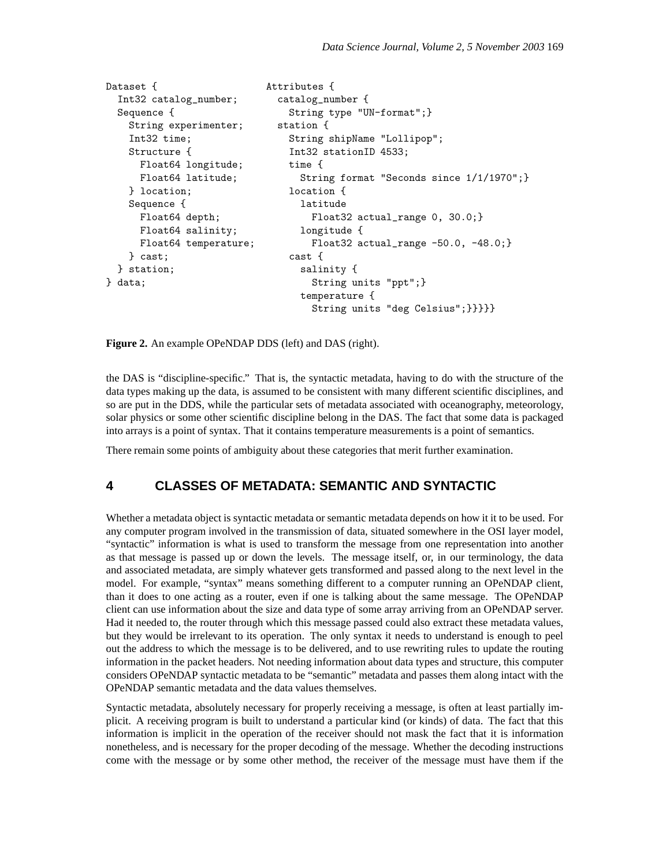```
Dataset { \qquad \qquad Attributes {
 Int32 catalog_number; catalog_number {
 Sequence { \qquad \qquad String type "UN-format"; }
  String experimenter; station {
   Int32 time; String shipName "Lollipop";
  Structure { Int32 stationID 4533;
    Float64 longitude; time {
    Float64 latitude; String format "Seconds since 1/1/1970";}
   } location; location {
   Sequence { latitude
    Float64 depth; Float32 actual_range 0, 30.0;}
    Float64 salinity; longitude {
    Float64 temperature; Float32 actual_range -50.0, -48.0;}
   } cast; cast {
 } station; salinity {
} data; String units "ppt"; }
                         temperature {
                           String units "deg Celsius";}}}}}
```
**Figure 2.** An example OPeNDAP DDS (left) and DAS (right).

the DAS is "discipline-specific." That is, the syntactic metadata, having to do with the structure of the data types making up the data, is assumed to be consistent with many different scientific disciplines, and so are put in the DDS, while the particular sets of metadata associated with oceanography, meteorology, solar physics or some other scientific discipline belong in the DAS. The fact that some data is packaged into arrays is a point of syntax. That it contains temperature measurements is a point of semantics.

There remain some points of ambiguity about these categories that merit further examination.

#### **4 CLASSES OF METADATA: SEMANTIC AND SYNTACTIC**

Whether a metadata object is syntactic metadata or semantic metadata depends on how it it to be used. For any computer program involved in the transmission of data, situated somewhere in the OSI layer model, "syntactic" information is what is used to transform the message from one representation into another as that message is passed up or down the levels. The message itself, or, in our terminology, the data and associated metadata, are simply whatever gets transformed and passed along to the next level in the model. For example, "syntax" means something different to a computer running an OPeNDAP client, than it does to one acting as a router, even if one is talking about the same message. The OPeNDAP client can use information about the size and data type of some array arriving from an OPeNDAP server. Had it needed to, the router through which this message passed could also extract these metadata values, but they would be irrelevant to its operation. The only syntax it needs to understand is enough to peel out the address to which the message is to be delivered, and to use rewriting rules to update the routing information in the packet headers. Not needing information about data types and structure, this computer considers OPeNDAP syntactic metadata to be "semantic" metadata and passes them along intact with the OPeNDAP semantic metadata and the data values themselves.

Syntactic metadata, absolutely necessary for properly receiving a message, is often at least partially implicit. A receiving program is built to understand a particular kind (or kinds) of data. The fact that this information is implicit in the operation of the receiver should not mask the fact that it is information nonetheless, and is necessary for the proper decoding of the message. Whether the decoding instructions come with the message or by some other method, the receiver of the message must have them if the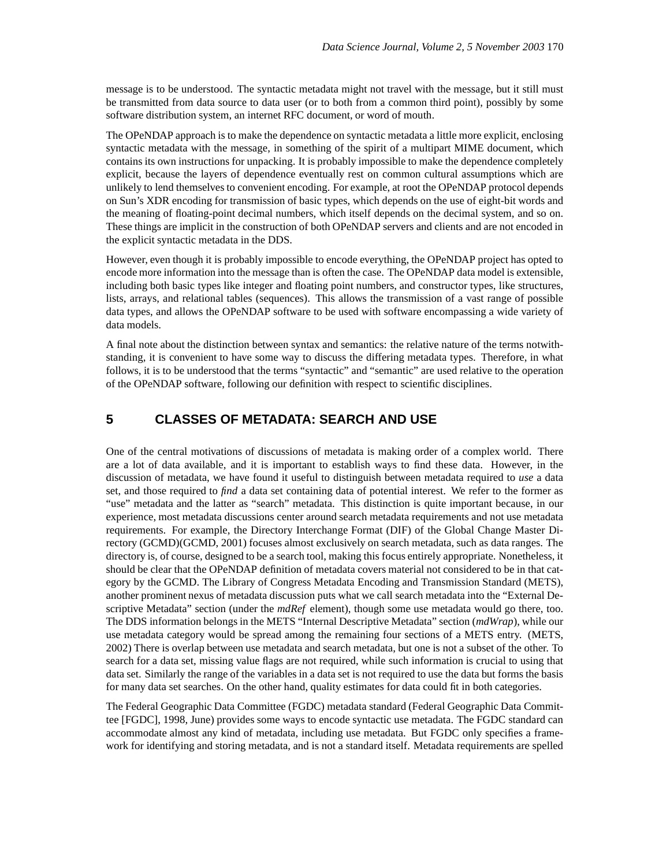message is to be understood. The syntactic metadata might not travel with the message, but it still must be transmitted from data source to data user (or to both from a common third point), possibly by some software distribution system, an internet RFC document, or word of mouth.

The OPeNDAP approach is to make the dependence on syntactic metadata a little more explicit, enclosing syntactic metadata with the message, in something of the spirit of a multipart MIME document, which contains its own instructions for unpacking. It is probably impossible to make the dependence completely explicit, because the layers of dependence eventually rest on common cultural assumptions which are unlikely to lend themselves to convenient encoding. For example, at root the OPeNDAP protocol depends on Sun's XDR encoding for transmission of basic types, which depends on the use of eight-bit words and the meaning of floating-point decimal numbers, which itself depends on the decimal system, and so on. These things are implicit in the construction of both OPeNDAP servers and clients and are not encoded in the explicit syntactic metadata in the DDS.

However, even though it is probably impossible to encode everything, the OPeNDAP project has opted to encode more information into the message than is often the case. The OPeNDAP data model is extensible, including both basic types like integer and floating point numbers, and constructor types, like structures, lists, arrays, and relational tables (sequences). This allows the transmission of a vast range of possible data types, and allows the OPeNDAP software to be used with software encompassing a wide variety of data models.

A final note about the distinction between syntax and semantics: the relative nature of the terms notwithstanding, it is convenient to have some way to discuss the differing metadata types. Therefore, in what follows, it is to be understood that the terms "syntactic" and "semantic" are used relative to the operation of the OPeNDAP software, following our definition with respect to scientific disciplines.

#### **5 CLASSES OF METADATA: SEARCH AND USE**

One of the central motivations of discussions of metadata is making order of a complex world. There are a lot of data available, and it is important to establish ways to find these data. However, in the discussion of metadata, we have found it useful to distinguish between metadata required to *use* a data set, and those required to *find* a data set containing data of potential interest. We refer to the former as "use" metadata and the latter as "search" metadata. This distinction is quite important because, in our experience, most metadata discussions center around search metadata requirements and not use metadata requirements. For example, the Directory Interchange Format (DIF) of the Global Change Master Directory (GCMD)(GCMD, 2001) focuses almost exclusively on search metadata, such as data ranges. The directory is, of course, designed to be a search tool, making this focus entirely appropriate. Nonetheless, it should be clear that the OPeNDAP definition of metadata covers material not considered to be in that category by the GCMD. The Library of Congress Metadata Encoding and Transmission Standard (METS), another prominent nexus of metadata discussion puts what we call search metadata into the "External Descriptive Metadata" section (under the *mdRef* element), though some use metadata would go there, too. The DDS information belongs in the METS "Internal Descriptive Metadata" section (*mdWrap*), while our use metadata category would be spread among the remaining four sections of a METS entry. (METS, 2002) There is overlap between use metadata and search metadata, but one is not a subset of the other. To search for a data set, missing value flags are not required, while such information is crucial to using that data set. Similarly the range of the variables in a data set is not required to use the data but forms the basis for many data set searches. On the other hand, quality estimates for data could fit in both categories.

The Federal Geographic Data Committee (FGDC) metadata standard (Federal Geographic Data Committee [FGDC], 1998, June) provides some ways to encode syntactic use metadata. The FGDC standard can accommodate almost any kind of metadata, including use metadata. But FGDC only specifies a framework for identifying and storing metadata, and is not a standard itself. Metadata requirements are spelled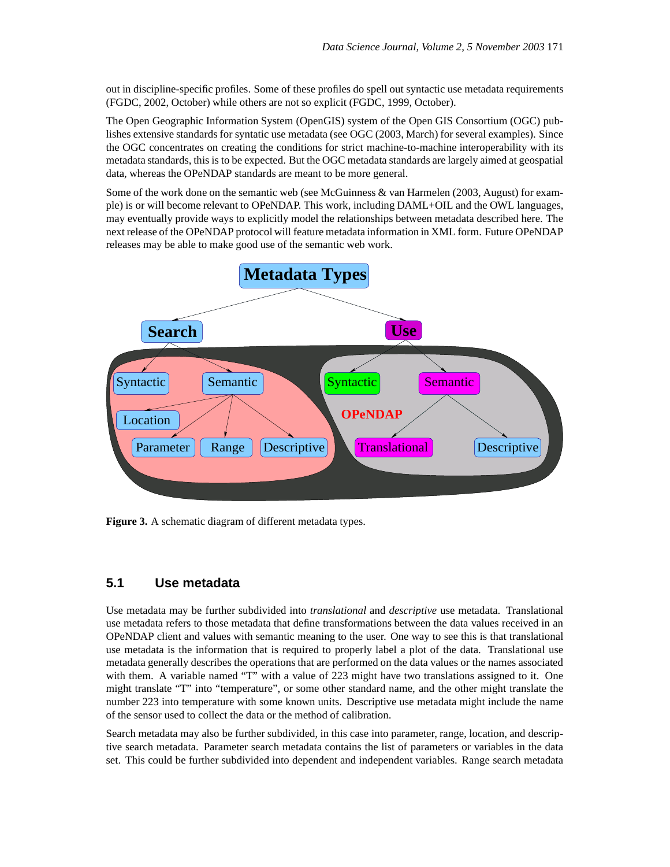out in discipline-specific profiles. Some of these profiles do spell out syntactic use metadata requirements (FGDC, 2002, October) while others are not so explicit (FGDC, 1999, October).

The Open Geographic Information System (OpenGIS) system of the Open GIS Consortium (OGC) publishes extensive standards for syntatic use metadata (see OGC (2003, March) for several examples). Since the OGC concentrates on creating the conditions for strict machine-to-machine interoperability with its metadata standards, this is to be expected. But the OGC metadata standards are largely aimed at geospatial data, whereas the OPeNDAP standards are meant to be more general.

Some of the work done on the semantic web (see McGuinness & van Harmelen (2003, August) for example) is or will become relevant to OPeNDAP. This work, including DAML+OIL and the OWL languages, may eventually provide ways to explicitly model the relationships between metadata described here. The next release of the OPeNDAP protocol will feature metadata information in XML form. Future OPeNDAP releases may be able to make good use of the semantic web work.



**Figure 3.** A schematic diagram of different metadata types.

#### **5.1 Use metadata**

Use metadata may be further subdivided into *translational* and *descriptive* use metadata. Translational use metadata refers to those metadata that define transformations between the data values received in an OPeNDAP client and values with semantic meaning to the user. One way to see this is that translational use metadata is the information that is required to properly label a plot of the data. Translational use metadata generally describes the operations that are performed on the data values or the names associated with them. A variable named "T" with a value of 223 might have two translations assigned to it. One might translate "T" into "temperature", or some other standard name, and the other might translate the number 223 into temperature with some known units. Descriptive use metadata might include the name of the sensor used to collect the data or the method of calibration.

Search metadata may also be further subdivided, in this case into parameter, range, location, and descriptive search metadata. Parameter search metadata contains the list of parameters or variables in the data set. This could be further subdivided into dependent and independent variables. Range search metadata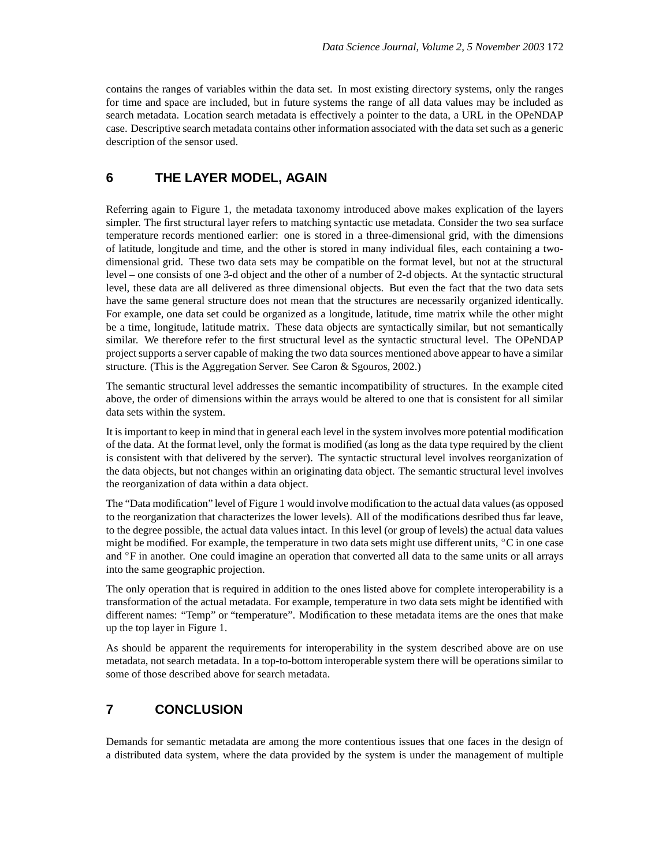contains the ranges of variables within the data set. In most existing directory systems, only the ranges for time and space are included, but in future systems the range of all data values may be included as search metadata. Location search metadata is effectively a pointer to the data, a URL in the OPeNDAP case. Descriptive search metadata contains other information associated with the data set such as a generic description of the sensor used.

#### **6 THE LAYER MODEL, AGAIN**

Referring again to Figure 1, the metadata taxonomy introduced above makes explication of the layers simpler. The first structural layer refers to matching syntactic use metadata. Consider the two sea surface temperature records mentioned earlier: one is stored in a three-dimensional grid, with the dimensions of latitude, longitude and time, and the other is stored in many individual files, each containing a twodimensional grid. These two data sets may be compatible on the format level, but not at the structural level – one consists of one 3-d object and the other of a number of 2-d objects. At the syntactic structural level, these data are all delivered as three dimensional objects. But even the fact that the two data sets have the same general structure does not mean that the structures are necessarily organized identically. For example, one data set could be organized as a longitude, latitude, time matrix while the other might be a time, longitude, latitude matrix. These data objects are syntactically similar, but not semantically similar. We therefore refer to the first structural level as the syntactic structural level. The OPeNDAP project supports a server capable of making the two data sources mentioned above appear to have a similar structure. (This is the Aggregation Server. See Caron & Sgouros, 2002.)

The semantic structural level addresses the semantic incompatibility of structures. In the example cited above, the order of dimensions within the arrays would be altered to one that is consistent for all similar data sets within the system.

It is important to keep in mind that in general each level in the system involves more potential modification of the data. At the format level, only the format is modified (as long as the data type required by the client is consistent with that delivered by the server). The syntactic structural level involves reorganization of the data objects, but not changes within an originating data object. The semantic structural level involves the reorganization of data within a data object.

The "Data modification" level of Figure 1 would involve modification to the actual data values(as opposed to the reorganization that characterizes the lower levels). All of the modifications desribed thus far leave, to the degree possible, the actual data values intact. In this level (or group of levels) the actual data values might be modified. For example, the temperature in two data sets might use different units, ◦C in one case and <sup>°</sup>F in another. One could imagine an operation that converted all data to the same units or all arrays into the same geographic projection.

The only operation that is required in addition to the ones listed above for complete interoperability is a transformation of the actual metadata. For example, temperature in two data sets might be identified with different names: "Temp" or "temperature". Modification to these metadata items are the ones that make up the top layer in Figure 1.

As should be apparent the requirements for interoperability in the system described above are on use metadata, not search metadata. In a top-to-bottom interoperable system there will be operations similar to some of those described above for search metadata.

#### **7 CONCLUSION**

Demands for semantic metadata are among the more contentious issues that one faces in the design of a distributed data system, where the data provided by the system is under the management of multiple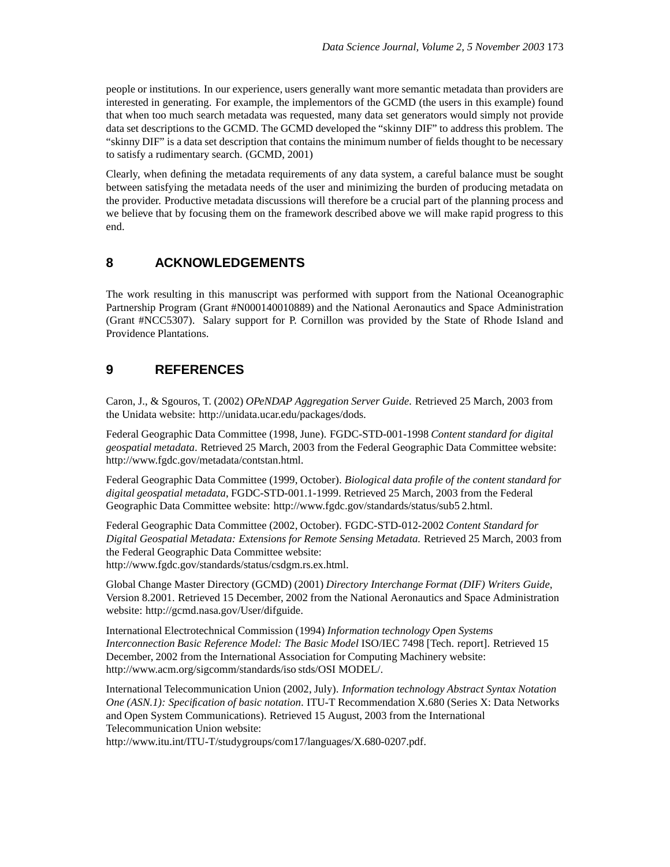people or institutions. In our experience, users generally want more semantic metadata than providers are interested in generating. For example, the implementors of the GCMD (the users in this example) found that when too much search metadata was requested, many data set generators would simply not provide data set descriptions to the GCMD. The GCMD developed the "skinny DIF" to address this problem. The "skinny DIF" is a data set description that contains the minimum number of fields thought to be necessary to satisfy a rudimentary search. (GCMD, 2001)

Clearly, when defining the metadata requirements of any data system, a careful balance must be sought between satisfying the metadata needs of the user and minimizing the burden of producing metadata on the provider. Productive metadata discussions will therefore be a crucial part of the planning process and we believe that by focusing them on the framework described above we will make rapid progress to this end.

#### **8 ACKNOWLEDGEMENTS**

The work resulting in this manuscript was performed with support from the National Oceanographic Partnership Program (Grant #N000140010889) and the National Aeronautics and Space Administration (Grant #NCC5307). Salary support for P. Cornillon was provided by the State of Rhode Island and Providence Plantations.

## **9 REFERENCES**

Caron, J., & Sgouros, T. (2002) *OPeNDAP Aggregation Server Guide*. Retrieved 25 March, 2003 from the Unidata website: http://unidata.ucar.edu/packages/dods.

Federal Geographic Data Committee (1998, June). FGDC-STD-001-1998 *Content standard for digital geospatial metadata*. Retrieved 25 March, 2003 from the Federal Geographic Data Committee website: http://www.fgdc.gov/metadata/contstan.html.

Federal Geographic Data Committee (1999, October). *Biological data profile of the content standard for digital geospatial metadata*, FGDC-STD-001.1-1999. Retrieved 25 March, 2003 from the Federal Geographic Data Committee website: http://www.fgdc.gov/standards/status/sub5 2.html.

Federal Geographic Data Committee (2002, October). FGDC-STD-012-2002 *Content Standard for Digital Geospatial Metadata: Extensions for Remote Sensing Metadata.* Retrieved 25 March, 2003 from the Federal Geographic Data Committee website: http://www.fgdc.gov/standards/status/csdgm.rs.ex.html.

Global Change Master Directory (GCMD) (2001) *Directory Interchange Format (DIF) Writers Guide*, Version 8.2001. Retrieved 15 December, 2002 from the National Aeronautics and Space Administration website: http://gcmd.nasa.gov/User/difguide.

International Electrotechnical Commission (1994) *Information technology Open Systems Interconnection Basic Reference Model: The Basic Model* ISO/IEC 7498 [Tech. report]. Retrieved 15 December, 2002 from the International Association for Computing Machinery website: http://www.acm.org/sigcomm/standards/iso stds/OSI MODEL/.

International Telecommunication Union (2002, July). *Information technology Abstract Syntax Notation One (ASN.1): Specification of basic notation*. ITU-T Recommendation X.680 (Series X: Data Networks and Open System Communications). Retrieved 15 August, 2003 from the International Telecommunication Union website:

http://www.itu.int/ITU-T/studygroups/com17/languages/X.680-0207.pdf.